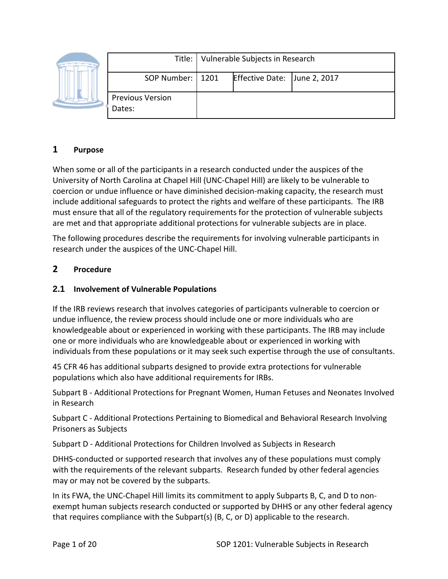|  |                                   | Title:   Vulnerable Subjects in Research |                              |  |
|--|-----------------------------------|------------------------------------------|------------------------------|--|
|  | SOP Number:   1201                |                                          | Effective Date: June 2, 2017 |  |
|  | <b>Previous Version</b><br>Dates: |                                          |                              |  |

## **1 Purpose**

When some or all of the participants in a research conducted under the auspices of the University of North Carolina at Chapel Hill (UNC-Chapel Hill) are likely to be vulnerable to coercion or undue influence or have diminished decision-making capacity, the research must include additional safeguards to protect the rights and welfare of these participants. The IRB must ensure that all of the regulatory requirements for the protection of vulnerable subjects are met and that appropriate additional protections for vulnerable subjects are in place.

The following procedures describe the requirements for involving vulnerable participants in research under the auspices of the UNC-Chapel Hill.

### **2 Procedure**

#### **2.1 Involvement of Vulnerable Populations**

If the IRB reviews research that involves categories of participants vulnerable to coercion or undue influence, the review process should include one or more individuals who are knowledgeable about or experienced in working with these participants. The IRB may include one or more individuals who are knowledgeable about or experienced in working with individuals from these populations or it may seek such expertise through the use of consultants.

45 CFR 46 has additional subparts designed to provide extra protections for vulnerable populations which also have additional requirements for IRBs.

Subpart B - Additional Protections for Pregnant Women, Human Fetuses and Neonates Involved in Research

Subpart C - Additional Protections Pertaining to Biomedical and Behavioral Research Involving Prisoners as Subjects

Subpart D - Additional Protections for Children Involved as Subjects in Research

DHHS-conducted or supported research that involves any of these populations must comply with the requirements of the relevant subparts. Research funded by other federal agencies may or may not be covered by the subparts.

In its FWA, the UNC-Chapel Hill limits its commitment to apply Subparts B, C, and D to nonexempt human subjects research conducted or supported by DHHS or any other federal agency that requires compliance with the Subpart(s) (B, C, or D) applicable to the research.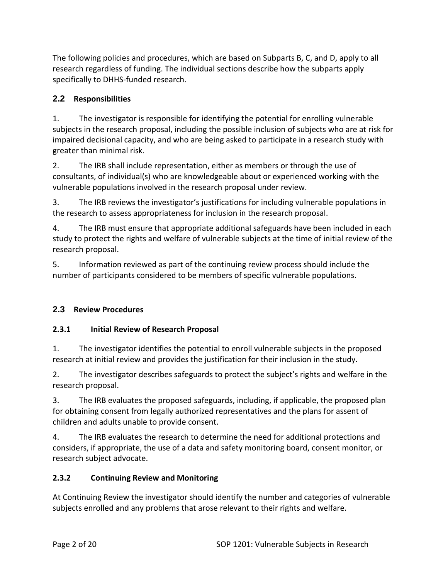The following policies and procedures, which are based on Subparts B, C, and D, apply to all research regardless of funding. The individual sections describe how the subparts apply specifically to DHHS-funded research.

## **2.2 Responsibilities**

1. The investigator is responsible for identifying the potential for enrolling vulnerable subjects in the research proposal, including the possible inclusion of subjects who are at risk for impaired decisional capacity, and who are being asked to participate in a research study with greater than minimal risk.

2. The IRB shall include representation, either as members or through the use of consultants, of individual(s) who are knowledgeable about or experienced working with the vulnerable populations involved in the research proposal under review.

3. The IRB reviews the investigator's justifications for including vulnerable populations in the research to assess appropriateness for inclusion in the research proposal.

4. The IRB must ensure that appropriate additional safeguards have been included in each study to protect the rights and welfare of vulnerable subjects at the time of initial review of the research proposal.

5. Information reviewed as part of the continuing review process should include the number of participants considered to be members of specific vulnerable populations.

## **2.3 Review Procedures**

## **2.3.1 Initial Review of Research Proposal**

1. The investigator identifies the potential to enroll vulnerable subjects in the proposed research at initial review and provides the justification for their inclusion in the study.

2. The investigator describes safeguards to protect the subject's rights and welfare in the research proposal.

3. The IRB evaluates the proposed safeguards, including, if applicable, the proposed plan for obtaining consent from legally authorized representatives and the plans for assent of children and adults unable to provide consent.

4. The IRB evaluates the research to determine the need for additional protections and considers, if appropriate, the use of a data and safety monitoring board, consent monitor, or research subject advocate.

## **2.3.2 Continuing Review and Monitoring**

At Continuing Review the investigator should identify the number and categories of vulnerable subjects enrolled and any problems that arose relevant to their rights and welfare.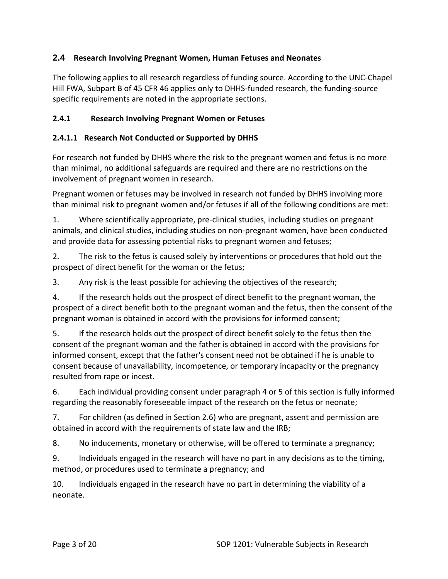### **2.4 Research Involving Pregnant Women, Human Fetuses and Neonates**

The following applies to all research regardless of funding source. According to the UNC-Chapel Hill FWA, Subpart B of 45 CFR 46 applies only to DHHS-funded research, the funding-source specific requirements are noted in the appropriate sections.

#### **2.4.1 Research Involving Pregnant Women or Fetuses**

#### **2.4.1.1 Research Not Conducted or Supported by DHHS**

For research not funded by DHHS where the risk to the pregnant women and fetus is no more than minimal, no additional safeguards are required and there are no restrictions on the involvement of pregnant women in research.

Pregnant women or fetuses may be involved in research not funded by DHHS involving more than minimal risk to pregnant women and/or fetuses if all of the following conditions are met:

1. Where scientifically appropriate, pre-clinical studies, including studies on pregnant animals, and clinical studies, including studies on non-pregnant women, have been conducted and provide data for assessing potential risks to pregnant women and fetuses;

2. The risk to the fetus is caused solely by interventions or procedures that hold out the prospect of direct benefit for the woman or the fetus;

3. Any risk is the least possible for achieving the objectives of the research;

4. If the research holds out the prospect of direct benefit to the pregnant woman, the prospect of a direct benefit both to the pregnant woman and the fetus, then the consent of the pregnant woman is obtained in accord with the provisions for informed consent;

5. If the research holds out the prospect of direct benefit solely to the fetus then the consent of the pregnant woman and the father is obtained in accord with the provisions for informed consent, except that the father's consent need not be obtained if he is unable to consent because of unavailability, incompetence, or temporary incapacity or the pregnancy resulted from rape or incest.

6. Each individual providing consent under paragraph 4 or 5 of this section is fully informed regarding the reasonably foreseeable impact of the research on the fetus or neonate;

7. For children (as defined in Section 2.6) who are pregnant, assent and permission are obtained in accord with the requirements of state law and the IRB;

8. No inducements, monetary or otherwise, will be offered to terminate a pregnancy;

9. Individuals engaged in the research will have no part in any decisions as to the timing, method, or procedures used to terminate a pregnancy; and

10. Individuals engaged in the research have no part in determining the viability of a neonate.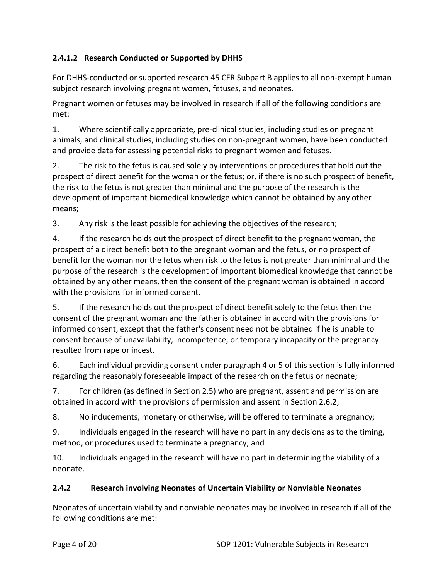## **2.4.1.2 Research Conducted or Supported by DHHS**

For DHHS-conducted or supported research 45 CFR Subpart B applies to all non-exempt human subject research involving pregnant women, fetuses, and neonates.

Pregnant women or fetuses may be involved in research if all of the following conditions are met:

1. Where scientifically appropriate, pre-clinical studies, including studies on pregnant animals, and clinical studies, including studies on non-pregnant women, have been conducted and provide data for assessing potential risks to pregnant women and fetuses.

2. The risk to the fetus is caused solely by interventions or procedures that hold out the prospect of direct benefit for the woman or the fetus; or, if there is no such prospect of benefit, the risk to the fetus is not greater than minimal and the purpose of the research is the development of important biomedical knowledge which cannot be obtained by any other means;

3. Any risk is the least possible for achieving the objectives of the research;

4. If the research holds out the prospect of direct benefit to the pregnant woman, the prospect of a direct benefit both to the pregnant woman and the fetus, or no prospect of benefit for the woman nor the fetus when risk to the fetus is not greater than minimal and the purpose of the research is the development of important biomedical knowledge that cannot be obtained by any other means, then the consent of the pregnant woman is obtained in accord with the provisions for informed consent.

5. If the research holds out the prospect of direct benefit solely to the fetus then the consent of the pregnant woman and the father is obtained in accord with the provisions for informed consent, except that the father's consent need not be obtained if he is unable to consent because of unavailability, incompetence, or temporary incapacity or the pregnancy resulted from rape or incest.

6. Each individual providing consent under paragraph 4 or 5 of this section is fully informed regarding the reasonably foreseeable impact of the research on the fetus or neonate;

7. For children (as defined in Section 2.5) who are pregnant, assent and permission are obtained in accord with the provisions of permission and assent in Section 2.6.2;

8. No inducements, monetary or otherwise, will be offered to terminate a pregnancy;

9. Individuals engaged in the research will have no part in any decisions as to the timing, method, or procedures used to terminate a pregnancy; and

10. Individuals engaged in the research will have no part in determining the viability of a neonate.

## **2.4.2 Research involving Neonates of Uncertain Viability or Nonviable Neonates**

Neonates of uncertain viability and nonviable neonates may be involved in research if all of the following conditions are met: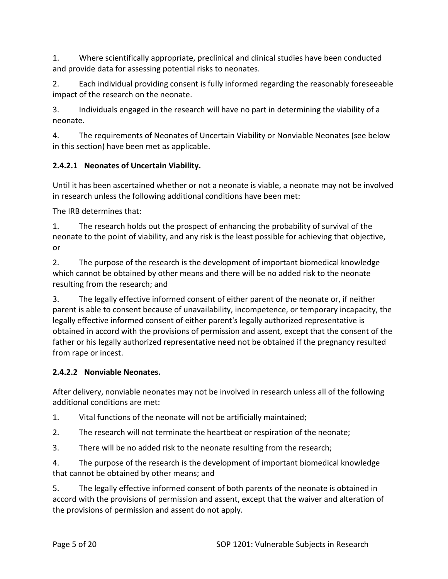1. Where scientifically appropriate, preclinical and clinical studies have been conducted and provide data for assessing potential risks to neonates.

2. Each individual providing consent is fully informed regarding the reasonably foreseeable impact of the research on the neonate.

3. Individuals engaged in the research will have no part in determining the viability of a neonate.

4. The requirements of Neonates of Uncertain Viability or Nonviable Neonates (see below in this section) have been met as applicable.

## **2.4.2.1 Neonates of Uncertain Viability.**

Until it has been ascertained whether or not a neonate is viable, a neonate may not be involved in research unless the following additional conditions have been met:

The IRB determines that:

1. The research holds out the prospect of enhancing the probability of survival of the neonate to the point of viability, and any risk is the least possible for achieving that objective, or

2. The purpose of the research is the development of important biomedical knowledge which cannot be obtained by other means and there will be no added risk to the neonate resulting from the research; and

3. The legally effective informed consent of either parent of the neonate or, if neither parent is able to consent because of unavailability, incompetence, or temporary incapacity, the legally effective informed consent of either parent's legally authorized representative is obtained in accord with the provisions of permission and assent, except that the consent of the father or his legally authorized representative need not be obtained if the pregnancy resulted from rape or incest.

## **2.4.2.2 Nonviable Neonates.**

After delivery, nonviable neonates may not be involved in research unless all of the following additional conditions are met:

- 1. Vital functions of the neonate will not be artificially maintained;
- 2. The research will not terminate the heartbeat or respiration of the neonate;
- 3. There will be no added risk to the neonate resulting from the research;

4. The purpose of the research is the development of important biomedical knowledge that cannot be obtained by other means; and

5. The legally effective informed consent of both parents of the neonate is obtained in accord with the provisions of permission and assent, except that the waiver and alteration of the provisions of permission and assent do not apply.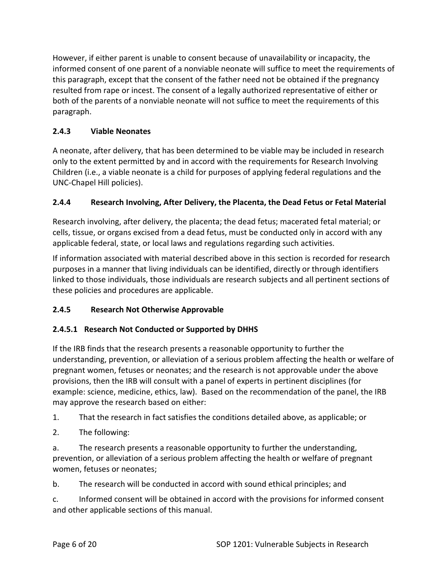However, if either parent is unable to consent because of unavailability or incapacity, the informed consent of one parent of a nonviable neonate will suffice to meet the requirements of this paragraph, except that the consent of the father need not be obtained if the pregnancy resulted from rape or incest. The consent of a legally authorized representative of either or both of the parents of a nonviable neonate will not suffice to meet the requirements of this paragraph.

## **2.4.3 Viable Neonates**

A neonate, after delivery, that has been determined to be viable may be included in research only to the extent permitted by and in accord with the requirements for Research Involving Children (i.e., a viable neonate is a child for purposes of applying federal regulations and the UNC-Chapel Hill policies).

## **2.4.4 Research Involving, After Delivery, the Placenta, the Dead Fetus or Fetal Material**

Research involving, after delivery, the placenta; the dead fetus; macerated fetal material; or cells, tissue, or organs excised from a dead fetus, must be conducted only in accord with any applicable federal, state, or local laws and regulations regarding such activities.

If information associated with material described above in this section is recorded for research purposes in a manner that living individuals can be identified, directly or through identifiers linked to those individuals, those individuals are research subjects and all pertinent sections of these policies and procedures are applicable.

# **2.4.5 Research Not Otherwise Approvable**

# **2.4.5.1 Research Not Conducted or Supported by DHHS**

If the IRB finds that the research presents a reasonable opportunity to further the understanding, prevention, or alleviation of a serious problem affecting the health or welfare of pregnant women, fetuses or neonates; and the research is not approvable under the above provisions, then the IRB will consult with a panel of experts in pertinent disciplines (for example: science, medicine, ethics, law). Based on the recommendation of the panel, the IRB may approve the research based on either:

1. That the research in fact satisfies the conditions detailed above, as applicable; or

2. The following:

a. The research presents a reasonable opportunity to further the understanding, prevention, or alleviation of a serious problem affecting the health or welfare of pregnant women, fetuses or neonates;

b. The research will be conducted in accord with sound ethical principles; and

c. Informed consent will be obtained in accord with the provisions for informed consent and other applicable sections of this manual.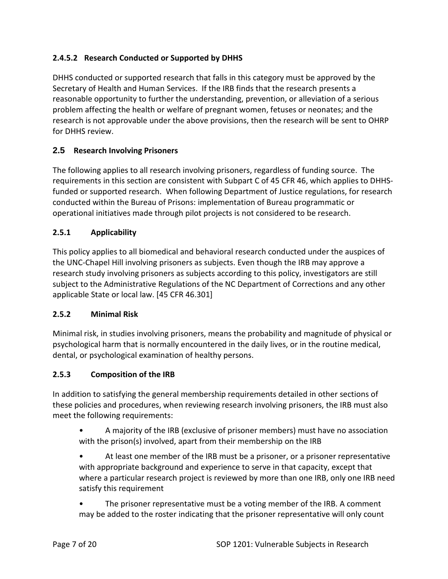## **2.4.5.2 Research Conducted or Supported by DHHS**

DHHS conducted or supported research that falls in this category must be approved by the Secretary of Health and Human Services. If the IRB finds that the research presents a reasonable opportunity to further the understanding, prevention, or alleviation of a serious problem affecting the health or welfare of pregnant women, fetuses or neonates; and the research is not approvable under the above provisions, then the research will be sent to OHRP for DHHS review.

### **2.5 Research Involving Prisoners**

The following applies to all research involving prisoners, regardless of funding source. The requirements in this section are consistent with Subpart C of 45 CFR 46, which applies to DHHSfunded or supported research. When following Department of Justice regulations, for research conducted within the Bureau of Prisons: implementation of Bureau programmatic or operational initiatives made through pilot projects is not considered to be research.

#### **2.5.1 Applicability**

This policy applies to all biomedical and behavioral research conducted under the auspices of the UNC-Chapel Hill involving prisoners as subjects. Even though the IRB may approve a research study involving prisoners as subjects according to this policy, investigators are still subject to the Administrative Regulations of the NC Department of Corrections and any other applicable State or local law. [45 CFR 46.301]

#### **2.5.2 Minimal Risk**

Minimal risk, in studies involving prisoners, means the probability and magnitude of physical or psychological harm that is normally encountered in the daily lives, or in the routine medical, dental, or psychological examination of healthy persons.

#### **2.5.3 Composition of the IRB**

In addition to satisfying the general membership requirements detailed in other sections of these policies and procedures, when reviewing research involving prisoners, the IRB must also meet the following requirements:

• A majority of the IRB (exclusive of prisoner members) must have no association with the prison(s) involved, apart from their membership on the IRB

• At least one member of the IRB must be a prisoner, or a prisoner representative with appropriate background and experience to serve in that capacity, except that where a particular research project is reviewed by more than one IRB, only one IRB need satisfy this requirement

The prisoner representative must be a voting member of the IRB. A comment may be added to the roster indicating that the prisoner representative will only count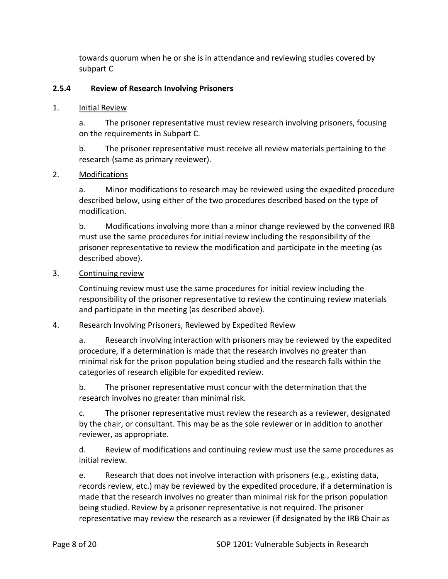towards quorum when he or she is in attendance and reviewing studies covered by subpart C

#### **2.5.4 Review of Research Involving Prisoners**

#### 1. **Initial Review**

a. The prisoner representative must review research involving prisoners, focusing on the requirements in Subpart C.

b. The prisoner representative must receive all review materials pertaining to the research (same as primary reviewer).

#### 2. Modifications

a. Minor modifications to research may be reviewed using the expedited procedure described below, using either of the two procedures described based on the type of modification.

b. Modifications involving more than a minor change reviewed by the convened IRB must use the same procedures for initial review including the responsibility of the prisoner representative to review the modification and participate in the meeting (as described above).

#### 3. Continuing review

Continuing review must use the same procedures for initial review including the responsibility of the prisoner representative to review the continuing review materials and participate in the meeting (as described above).

#### 4. Research Involving Prisoners, Reviewed by Expedited Review

a. Research involving interaction with prisoners may be reviewed by the expedited procedure, if a determination is made that the research involves no greater than minimal risk for the prison population being studied and the research falls within the categories of research eligible for expedited review.

b. The prisoner representative must concur with the determination that the research involves no greater than minimal risk.

c. The prisoner representative must review the research as a reviewer, designated by the chair, or consultant. This may be as the sole reviewer or in addition to another reviewer, as appropriate.

d. Review of modifications and continuing review must use the same procedures as initial review.

e. Research that does not involve interaction with prisoners (e.g., existing data, records review, etc.) may be reviewed by the expedited procedure, if a determination is made that the research involves no greater than minimal risk for the prison population being studied. Review by a prisoner representative is not required. The prisoner representative may review the research as a reviewer (if designated by the IRB Chair as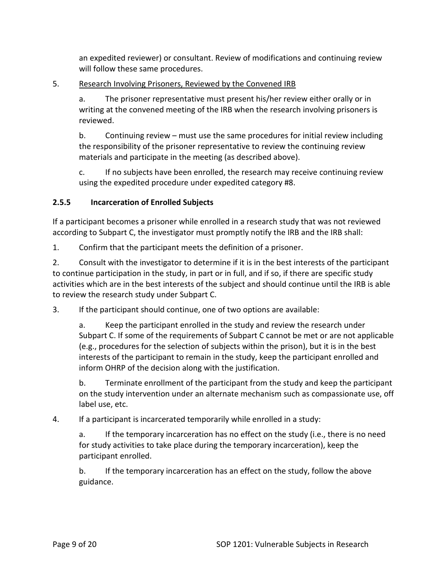an expedited reviewer) or consultant. Review of modifications and continuing review will follow these same procedures.

5. Research Involving Prisoners, Reviewed by the Convened IRB

a. The prisoner representative must present his/her review either orally or in writing at the convened meeting of the IRB when the research involving prisoners is reviewed.

b. Continuing review – must use the same procedures for initial review including the responsibility of the prisoner representative to review the continuing review materials and participate in the meeting (as described above).

c. If no subjects have been enrolled, the research may receive continuing review using the expedited procedure under expedited category #8.

## **2.5.5 Incarceration of Enrolled Subjects**

If a participant becomes a prisoner while enrolled in a research study that was not reviewed according to Subpart C, the investigator must promptly notify the IRB and the IRB shall:

1. Confirm that the participant meets the definition of a prisoner.

2. Consult with the investigator to determine if it is in the best interests of the participant to continue participation in the study, in part or in full, and if so, if there are specific study activities which are in the best interests of the subject and should continue until the IRB is able to review the research study under Subpart C.

3. If the participant should continue, one of two options are available:

a. Keep the participant enrolled in the study and review the research under Subpart C. If some of the requirements of Subpart C cannot be met or are not applicable (e.g., procedures for the selection of subjects within the prison), but it is in the best interests of the participant to remain in the study, keep the participant enrolled and inform OHRP of the decision along with the justification.

b. Terminate enrollment of the participant from the study and keep the participant on the study intervention under an alternate mechanism such as compassionate use, off label use, etc.

## 4. If a participant is incarcerated temporarily while enrolled in a study:

a. If the temporary incarceration has no effect on the study (i.e., there is no need for study activities to take place during the temporary incarceration), keep the participant enrolled.

b. If the temporary incarceration has an effect on the study, follow the above guidance.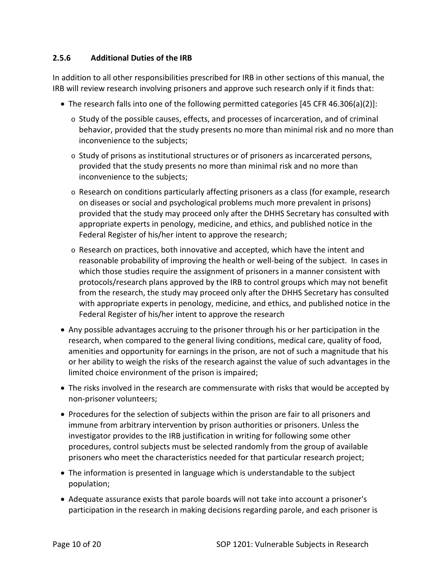#### **2.5.6 Additional Duties of the IRB**

In addition to all other responsibilities prescribed for IRB in other sections of this manual, the IRB will review research involving prisoners and approve such research only if it finds that:

- The research falls into one of the following permitted categories [45 CFR 46.306(a)(2)]:
	- o Study of the possible causes, effects, and processes of incarceration, and of criminal behavior, provided that the study presents no more than minimal risk and no more than inconvenience to the subjects;
	- $\circ$  Study of prisons as institutional structures or of prisoners as incarcerated persons, provided that the study presents no more than minimal risk and no more than inconvenience to the subjects;
	- o Research on conditions particularly affecting prisoners as a class (for example, research on diseases or social and psychological problems much more prevalent in prisons) provided that the study may proceed only after the DHHS Secretary has consulted with appropriate experts in penology, medicine, and ethics, and published notice in the Federal Register of his/her intent to approve the research;
	- $\circ$  Research on practices, both innovative and accepted, which have the intent and reasonable probability of improving the health or well-being of the subject. In cases in which those studies require the assignment of prisoners in a manner consistent with protocols/research plans approved by the IRB to control groups which may not benefit from the research, the study may proceed only after the DHHS Secretary has consulted with appropriate experts in penology, medicine, and ethics, and published notice in the Federal Register of his/her intent to approve the research
- Any possible advantages accruing to the prisoner through his or her participation in the research, when compared to the general living conditions, medical care, quality of food, amenities and opportunity for earnings in the prison, are not of such a magnitude that his or her ability to weigh the risks of the research against the value of such advantages in the limited choice environment of the prison is impaired;
- The risks involved in the research are commensurate with risks that would be accepted by non-prisoner volunteers;
- Procedures for the selection of subjects within the prison are fair to all prisoners and immune from arbitrary intervention by prison authorities or prisoners. Unless the investigator provides to the IRB justification in writing for following some other procedures, control subjects must be selected randomly from the group of available prisoners who meet the characteristics needed for that particular research project;
- The information is presented in language which is understandable to the subject population;
- Adequate assurance exists that parole boards will not take into account a prisoner's participation in the research in making decisions regarding parole, and each prisoner is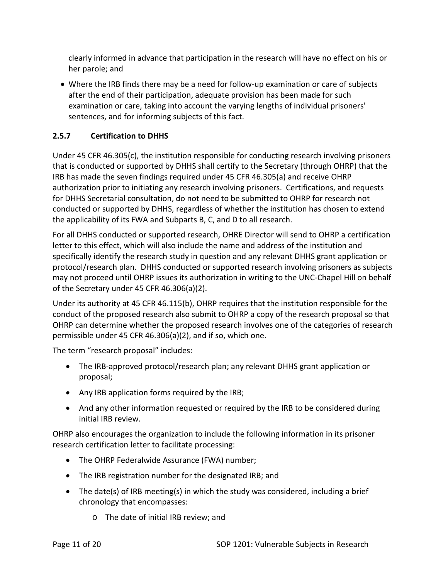clearly informed in advance that participation in the research will have no effect on his or her parole; and

• Where the IRB finds there may be a need for follow-up examination or care of subjects after the end of their participation, adequate provision has been made for such examination or care, taking into account the varying lengths of individual prisoners' sentences, and for informing subjects of this fact.

## **2.5.7 Certification to DHHS**

Under 45 CFR 46.305(c), the institution responsible for conducting research involving prisoners that is conducted or supported by DHHS shall certify to the Secretary (through OHRP) that the IRB has made the seven findings required under 45 CFR 46.305(a) and receive OHRP authorization prior to initiating any research involving prisoners. Certifications, and requests for DHHS Secretarial consultation, do not need to be submitted to OHRP for research not conducted or supported by DHHS, regardless of whether the institution has chosen to extend the applicability of its FWA and Subparts B, C, and D to all research.

For all DHHS conducted or supported research, OHRE Director will send to OHRP a certification letter to this effect, which will also include the name and address of the institution and specifically identify the research study in question and any relevant DHHS grant application or protocol/research plan. DHHS conducted or supported research involving prisoners as subjects may not proceed until OHRP issues its authorization in writing to the UNC-Chapel Hill on behalf of the Secretary under 45 CFR 46.306(a)(2).

Under its authority at 45 CFR 46.115(b), OHRP requires that the institution responsible for the conduct of the proposed research also submit to OHRP a copy of the research proposal so that OHRP can determine whether the proposed research involves one of the categories of research permissible under 45 CFR 46.306(a)(2), and if so, which one.

The term "research proposal" includes:

- The IRB-approved protocol/research plan; any relevant DHHS grant application or proposal;
- Any IRB application forms required by the IRB;
- And any other information requested or required by the IRB to be considered during initial IRB review.

OHRP also encourages the organization to include the following information in its prisoner research certification letter to facilitate processing:

- The OHRP Federalwide Assurance (FWA) number;
- The IRB registration number for the designated IRB; and
- The date(s) of IRB meeting(s) in which the study was considered, including a brief chronology that encompasses:
	- o The date of initial IRB review; and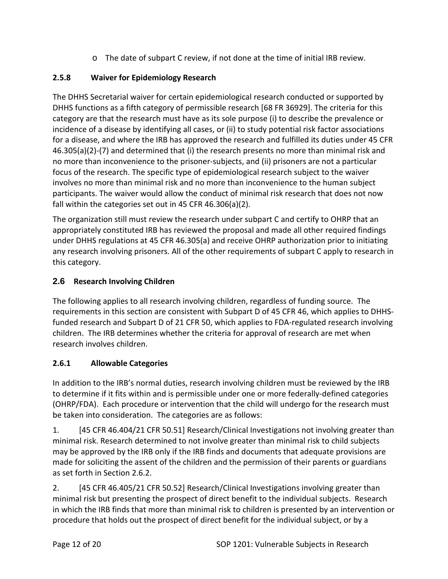o The date of subpart C review, if not done at the time of initial IRB review.

## **2.5.8 Waiver for Epidemiology Research**

The DHHS Secretarial waiver for certain epidemiological research conducted or supported by DHHS functions as a fifth category of permissible research [68 FR 36929]. The criteria for this category are that the research must have as its sole purpose (i) to describe the prevalence or incidence of a disease by identifying all cases, or (ii) to study potential risk factor associations for a disease, and where the IRB has approved the research and fulfilled its duties under 45 CFR 46.305(a)(2)-(7) and determined that (i) the research presents no more than minimal risk and no more than inconvenience to the prisoner-subjects, and (ii) prisoners are not a particular focus of the research. The specific type of epidemiological research subject to the waiver involves no more than minimal risk and no more than inconvenience to the human subject participants. The waiver would allow the conduct of minimal risk research that does not now fall within the categories set out in 45 CFR 46.306(a)(2).

The organization still must review the research under subpart C and certify to OHRP that an appropriately constituted IRB has reviewed the proposal and made all other required findings under DHHS regulations at 45 CFR 46.305(a) and receive OHRP authorization prior to initiating any research involving prisoners. All of the other requirements of subpart C apply to research in this category.

# **2.6 Research Involving Children**

The following applies to all research involving children, regardless of funding source. The requirements in this section are consistent with Subpart D of 45 CFR 46, which applies to DHHSfunded research and Subpart D of 21 CFR 50, which applies to FDA-regulated research involving children. The IRB determines whether the criteria for approval of research are met when research involves children.

# **2.6.1 Allowable Categories**

In addition to the IRB's normal duties, research involving children must be reviewed by the IRB to determine if it fits within and is permissible under one or more federally-defined categories (OHRP/FDA). Each procedure or intervention that the child will undergo for the research must be taken into consideration. The categories are as follows:

1. [45 CFR 46.404/21 CFR 50.51] Research/Clinical Investigations not involving greater than minimal risk. Research determined to not involve greater than minimal risk to child subjects may be approved by the IRB only if the IRB finds and documents that adequate provisions are made for soliciting the assent of the children and the permission of their parents or guardians as set forth in Section 2.6.2.

2. [45 CFR 46.405/21 CFR 50.52] Research/Clinical Investigations involving greater than minimal risk but presenting the prospect of direct benefit to the individual subjects. Research in which the IRB finds that more than minimal risk to children is presented by an intervention or procedure that holds out the prospect of direct benefit for the individual subject, or by a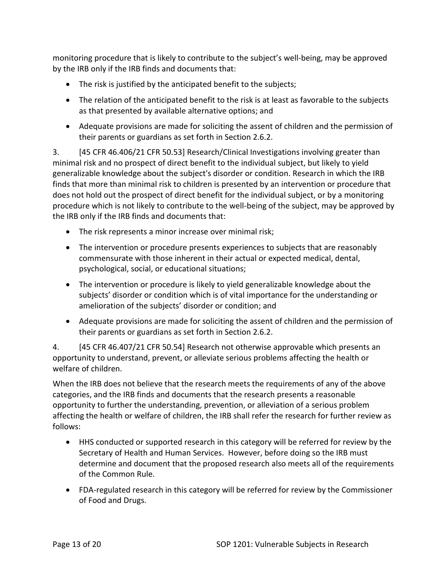monitoring procedure that is likely to contribute to the subject's well-being, may be approved by the IRB only if the IRB finds and documents that:

- The risk is justified by the anticipated benefit to the subjects;
- The relation of the anticipated benefit to the risk is at least as favorable to the subjects as that presented by available alternative options; and
- Adequate provisions are made for soliciting the assent of children and the permission of their parents or guardians as set forth in Section 2.6.2.

3. [45 CFR 46.406/21 CFR 50.53] Research/Clinical Investigations involving greater than minimal risk and no prospect of direct benefit to the individual subject, but likely to yield generalizable knowledge about the subject's disorder or condition. Research in which the IRB finds that more than minimal risk to children is presented by an intervention or procedure that does not hold out the prospect of direct benefit for the individual subject, or by a monitoring procedure which is not likely to contribute to the well-being of the subject, may be approved by the IRB only if the IRB finds and documents that:

- The risk represents a minor increase over minimal risk;
- The intervention or procedure presents experiences to subjects that are reasonably commensurate with those inherent in their actual or expected medical, dental, psychological, social, or educational situations;
- The intervention or procedure is likely to yield generalizable knowledge about the subjects' disorder or condition which is of vital importance for the understanding or amelioration of the subjects' disorder or condition; and
- Adequate provisions are made for soliciting the assent of children and the permission of their parents or guardians as set forth in Section 2.6.2.

4. [45 CFR 46.407/21 CFR 50.54] Research not otherwise approvable which presents an opportunity to understand, prevent, or alleviate serious problems affecting the health or welfare of children.

When the IRB does not believe that the research meets the requirements of any of the above categories, and the IRB finds and documents that the research presents a reasonable opportunity to further the understanding, prevention, or alleviation of a serious problem affecting the health or welfare of children, the IRB shall refer the research for further review as follows:

- HHS conducted or supported research in this category will be referred for review by the Secretary of Health and Human Services. However, before doing so the IRB must determine and document that the proposed research also meets all of the requirements of the Common Rule.
- FDA-regulated research in this category will be referred for review by the Commissioner of Food and Drugs.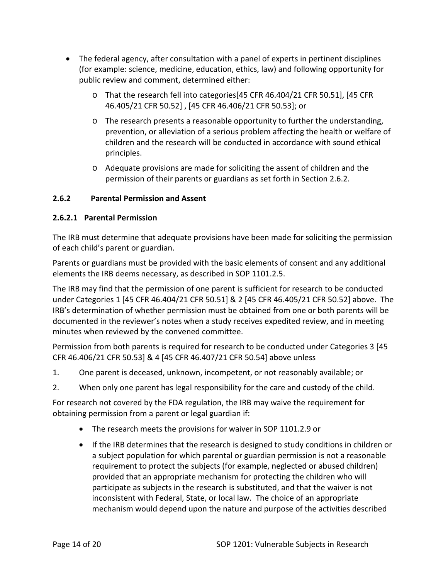- The federal agency, after consultation with a panel of experts in pertinent disciplines (for example: science, medicine, education, ethics, law) and following opportunity for public review and comment, determined either:
	- o That the research fell into categories[45 CFR 46.404/21 CFR 50.51], [45 CFR 46.405/21 CFR 50.52] , [45 CFR 46.406/21 CFR 50.53]; or
	- $\circ$  The research presents a reasonable opportunity to further the understanding, prevention, or alleviation of a serious problem affecting the health or welfare of children and the research will be conducted in accordance with sound ethical principles.
	- o Adequate provisions are made for soliciting the assent of children and the permission of their parents or guardians as set forth in Section 2.6.2.

#### **2.6.2 Parental Permission and Assent**

#### **2.6.2.1 Parental Permission**

The IRB must determine that adequate provisions have been made for soliciting the permission of each child's parent or guardian.

Parents or guardians must be provided with the basic elements of consent and any additional elements the IRB deems necessary, as described in SOP 1101.2.5.

The IRB may find that the permission of one parent is sufficient for research to be conducted under Categories 1 [45 CFR 46.404/21 CFR 50.51] & 2 [45 CFR 46.405/21 CFR 50.52] above. The IRB's determination of whether permission must be obtained from one or both parents will be documented in the reviewer's notes when a study receives expedited review, and in meeting minutes when reviewed by the convened committee.

Permission from both parents is required for research to be conducted under Categories 3 [45 CFR 46.406/21 CFR 50.53] & 4 [45 CFR 46.407/21 CFR 50.54] above unless

- 1. One parent is deceased, unknown, incompetent, or not reasonably available; or
- 2. When only one parent has legal responsibility for the care and custody of the child.

For research not covered by the FDA regulation, the IRB may waive the requirement for obtaining permission from a parent or legal guardian if:

- The research meets the provisions for waiver in SOP 1101.2.9 or
- If the IRB determines that the research is designed to study conditions in children or a subject population for which parental or guardian permission is not a reasonable requirement to protect the subjects (for example, neglected or abused children) provided that an appropriate mechanism for protecting the children who will participate as subjects in the research is substituted, and that the waiver is not inconsistent with Federal, State, or local law. The choice of an appropriate mechanism would depend upon the nature and purpose of the activities described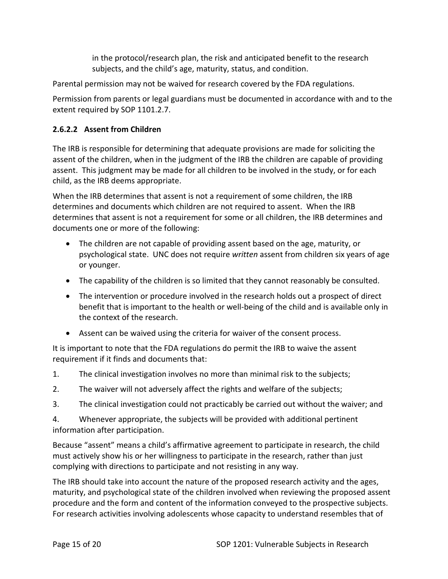in the protocol/research plan, the risk and anticipated benefit to the research subjects, and the child's age, maturity, status, and condition.

Parental permission may not be waived for research covered by the FDA regulations.

Permission from parents or legal guardians must be documented in accordance with and to the extent required by SOP 1101.2.7.

### **2.6.2.2 Assent from Children**

The IRB is responsible for determining that adequate provisions are made for soliciting the assent of the children, when in the judgment of the IRB the children are capable of providing assent. This judgment may be made for all children to be involved in the study, or for each child, as the IRB deems appropriate.

When the IRB determines that assent is not a requirement of some children, the IRB determines and documents which children are not required to assent. When the IRB determines that assent is not a requirement for some or all children, the IRB determines and documents one or more of the following:

- The children are not capable of providing assent based on the age, maturity, or psychological state. UNC does not require *written* assent from children six years of age or younger.
- The capability of the children is so limited that they cannot reasonably be consulted.
- The intervention or procedure involved in the research holds out a prospect of direct benefit that is important to the health or well-being of the child and is available only in the context of the research.
- Assent can be waived using the criteria for waiver of the consent process.

It is important to note that the FDA regulations do permit the IRB to waive the assent requirement if it finds and documents that:

- 1. The clinical investigation involves no more than minimal risk to the subjects;
- 2. The waiver will not adversely affect the rights and welfare of the subjects;
- 3. The clinical investigation could not practicably be carried out without the waiver; and

4. Whenever appropriate, the subjects will be provided with additional pertinent information after participation.

Because "assent" means a child's affirmative agreement to participate in research, the child must actively show his or her willingness to participate in the research, rather than just complying with directions to participate and not resisting in any way.

The IRB should take into account the nature of the proposed research activity and the ages, maturity, and psychological state of the children involved when reviewing the proposed assent procedure and the form and content of the information conveyed to the prospective subjects. For research activities involving adolescents whose capacity to understand resembles that of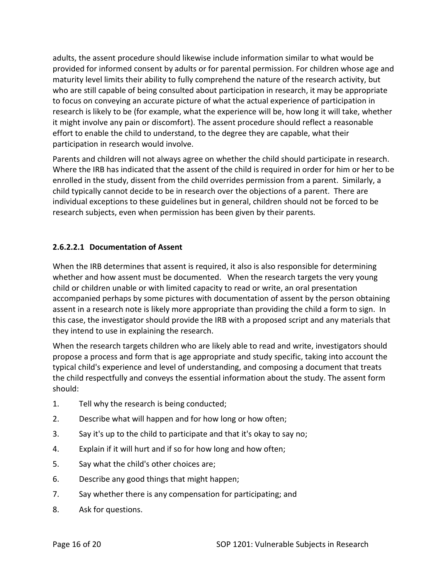adults, the assent procedure should likewise include information similar to what would be provided for informed consent by adults or for parental permission. For children whose age and maturity level limits their ability to fully comprehend the nature of the research activity, but who are still capable of being consulted about participation in research, it may be appropriate to focus on conveying an accurate picture of what the actual experience of participation in research is likely to be (for example, what the experience will be, how long it will take, whether it might involve any pain or discomfort). The assent procedure should reflect a reasonable effort to enable the child to understand, to the degree they are capable, what their participation in research would involve.

Parents and children will not always agree on whether the child should participate in research. Where the IRB has indicated that the assent of the child is required in order for him or her to be enrolled in the study, dissent from the child overrides permission from a parent. Similarly, a child typically cannot decide to be in research over the objections of a parent. There are individual exceptions to these guidelines but in general, children should not be forced to be research subjects, even when permission has been given by their parents.

### **2.6.2.2.1 Documentation of Assent**

When the IRB determines that assent is required, it also is also responsible for determining whether and how assent must be documented. When the research targets the very young child or children unable or with limited capacity to read or write, an oral presentation accompanied perhaps by some pictures with documentation of assent by the person obtaining assent in a research note is likely more appropriate than providing the child a form to sign. In this case, the investigator should provide the IRB with a proposed script and any materials that they intend to use in explaining the research.

When the research targets children who are likely able to read and write, investigators should propose a process and form that is age appropriate and study specific, taking into account the typical child's experience and level of understanding, and composing a document that treats the child respectfully and conveys the essential information about the study. The assent form should:

- 1. Tell why the research is being conducted;
- 2. Describe what will happen and for how long or how often;
- 3. Say it's up to the child to participate and that it's okay to say no;
- 4. Explain if it will hurt and if so for how long and how often;
- 5. Say what the child's other choices are;
- 6. Describe any good things that might happen;
- 7. Say whether there is any compensation for participating; and
- 8. Ask for questions.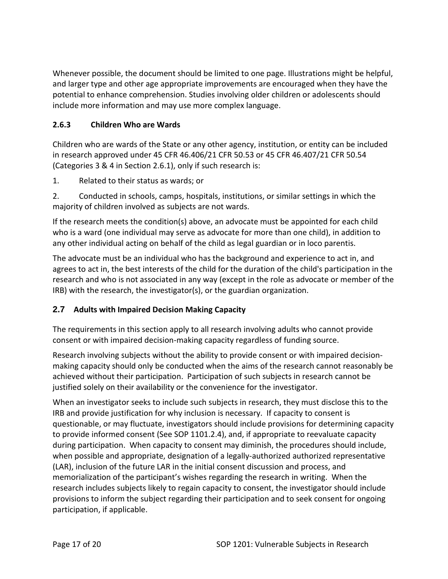Whenever possible, the document should be limited to one page. Illustrations might be helpful, and larger type and other age appropriate improvements are encouraged when they have the potential to enhance comprehension. Studies involving older children or adolescents should include more information and may use more complex language.

## **2.6.3 Children Who are Wards**

Children who are wards of the State or any other agency, institution, or entity can be included in research approved under 45 CFR 46.406/21 CFR 50.53 or 45 CFR 46.407/21 CFR 50.54 (Categories 3 & 4 in Section 2.6.1), only if such research is:

1. Related to their status as wards; or

2. Conducted in schools, camps, hospitals, institutions, or similar settings in which the majority of children involved as subjects are not wards.

If the research meets the condition(s) above, an advocate must be appointed for each child who is a ward (one individual may serve as advocate for more than one child), in addition to any other individual acting on behalf of the child as legal guardian or in loco parentis.

The advocate must be an individual who has the background and experience to act in, and agrees to act in, the best interests of the child for the duration of the child's participation in the research and who is not associated in any way (except in the role as advocate or member of the IRB) with the research, the investigator(s), or the guardian organization.

#### **2.7 Adults with Impaired Decision Making Capacity**

The requirements in this section apply to all research involving adults who cannot provide consent or with impaired decision-making capacity regardless of funding source.

Research involving subjects without the ability to provide consent or with impaired decisionmaking capacity should only be conducted when the aims of the research cannot reasonably be achieved without their participation. Participation of such subjects in research cannot be justified solely on their availability or the convenience for the investigator.

When an investigator seeks to include such subjects in research, they must disclose this to the IRB and provide justification for why inclusion is necessary. If capacity to consent is questionable, or may fluctuate, investigators should include provisions for determining capacity to provide informed consent (See SOP 1101.2.4), and, if appropriate to reevaluate capacity during participation. When capacity to consent may diminish, the procedures should include, when possible and appropriate, designation of a legally-authorized authorized representative (LAR), inclusion of the future LAR in the initial consent discussion and process, and memorialization of the participant's wishes regarding the research in writing. When the research includes subjects likely to regain capacity to consent, the investigator should include provisions to inform the subject regarding their participation and to seek consent for ongoing participation, if applicable.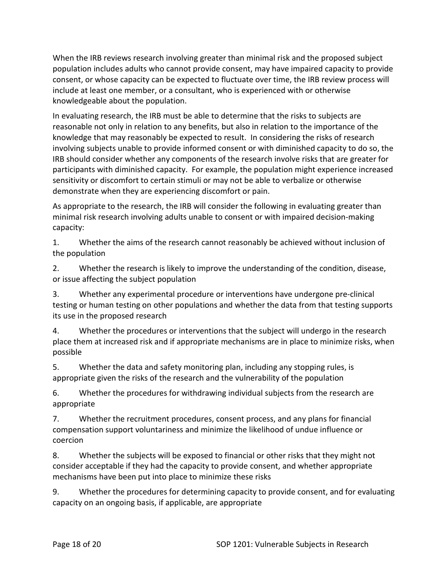When the IRB reviews research involving greater than minimal risk and the proposed subject population includes adults who cannot provide consent, may have impaired capacity to provide consent, or whose capacity can be expected to fluctuate over time, the IRB review process will include at least one member, or a consultant, who is experienced with or otherwise knowledgeable about the population.

In evaluating research, the IRB must be able to determine that the risks to subjects are reasonable not only in relation to any benefits, but also in relation to the importance of the knowledge that may reasonably be expected to result. In considering the risks of research involving subjects unable to provide informed consent or with diminished capacity to do so, the IRB should consider whether any components of the research involve risks that are greater for participants with diminished capacity. For example, the population might experience increased sensitivity or discomfort to certain stimuli or may not be able to verbalize or otherwise demonstrate when they are experiencing discomfort or pain.

As appropriate to the research, the IRB will consider the following in evaluating greater than minimal risk research involving adults unable to consent or with impaired decision-making capacity:

1. Whether the aims of the research cannot reasonably be achieved without inclusion of the population

2. Whether the research is likely to improve the understanding of the condition, disease, or issue affecting the subject population

3. Whether any experimental procedure or interventions have undergone pre-clinical testing or human testing on other populations and whether the data from that testing supports its use in the proposed research

4. Whether the procedures or interventions that the subject will undergo in the research place them at increased risk and if appropriate mechanisms are in place to minimize risks, when possible

5. Whether the data and safety monitoring plan, including any stopping rules, is appropriate given the risks of the research and the vulnerability of the population

6. Whether the procedures for withdrawing individual subjects from the research are appropriate

7. Whether the recruitment procedures, consent process, and any plans for financial compensation support voluntariness and minimize the likelihood of undue influence or coercion

8. Whether the subjects will be exposed to financial or other risks that they might not consider acceptable if they had the capacity to provide consent, and whether appropriate mechanisms have been put into place to minimize these risks

9. Whether the procedures for determining capacity to provide consent, and for evaluating capacity on an ongoing basis, if applicable, are appropriate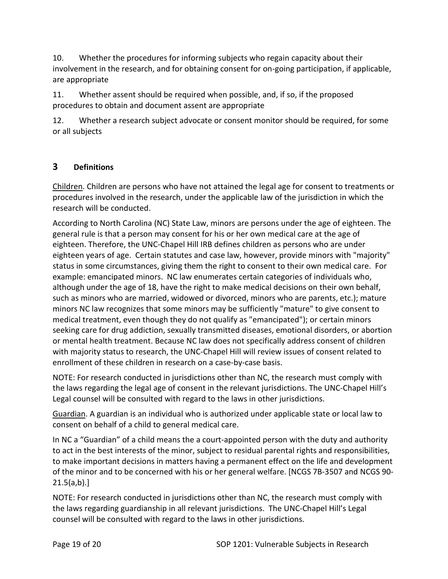10. Whether the procedures for informing subjects who regain capacity about their involvement in the research, and for obtaining consent for on-going participation, if applicable, are appropriate

11. Whether assent should be required when possible, and, if so, if the proposed procedures to obtain and document assent are appropriate

12. Whether a research subject advocate or consent monitor should be required, for some or all subjects

## **3 Definitions**

Children. Children are persons who have not attained the legal age for consent to treatments or procedures involved in the research, under the applicable law of the jurisdiction in which the research will be conducted.

According to North Carolina (NC) State Law, minors are persons under the age of eighteen. The general rule is that a person may consent for his or her own medical care at the age of eighteen. Therefore, the UNC-Chapel Hill IRB defines children as persons who are under eighteen years of age. Certain statutes and case law, however, provide minors with "majority" status in some circumstances, giving them the right to consent to their own medical care. For example: emancipated minors. NC law enumerates certain categories of individuals who, although under the age of 18, have the right to make medical decisions on their own behalf, such as minors who are married, widowed or divorced, minors who are parents, etc.); mature minors NC law recognizes that some minors may be sufficiently "mature" to give consent to medical treatment, even though they do not qualify as "emancipated"); or certain minors seeking care for drug addiction, sexually transmitted diseases, emotional disorders, or abortion or mental health treatment. Because NC law does not specifically address consent of children with majority status to research, the UNC-Chapel Hill will review issues of consent related to enrollment of these children in research on a case-by-case basis.

NOTE: For research conducted in jurisdictions other than NC, the research must comply with the laws regarding the legal age of consent in the relevant jurisdictions. The UNC-Chapel Hill's Legal counsel will be consulted with regard to the laws in other jurisdictions.

Guardian. A guardian is an individual who is authorized under applicable state or local law to consent on behalf of a child to general medical care.

In NC a "Guardian" of a child means the a court-appointed person with the duty and authority to act in the best interests of the minor, subject to residual parental rights and responsibilities, to make important decisions in matters having a permanent effect on the life and development of the minor and to be concerned with his or her general welfare. [NCGS 7B-3507 and NCGS 90-  $21.5(a,b).$ 

NOTE: For research conducted in jurisdictions other than NC, the research must comply with the laws regarding guardianship in all relevant jurisdictions. The UNC-Chapel Hill's Legal counsel will be consulted with regard to the laws in other jurisdictions.